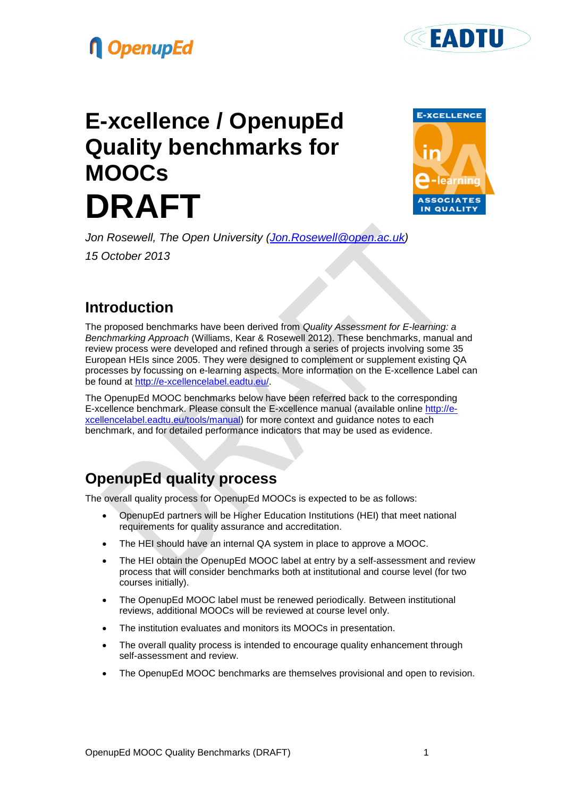## **OpenupEd**

# **E-xcellence / OpenupEd Quality benchmarks for MOOCs DRAFT**



**EADTU** 

*Jon Rosewell, The Open University [\(Jon.Rosewell@open.ac.uk\)](mailto:Jon.Rosewell@open.ac.uk) 15 October 2013*

### **Introduction**

The proposed benchmarks have been derived from *Quality Assessment for E-learning: a Benchmarking Approach* (Williams, Kear & Rosewell 2012). These benchmarks, manual and review process were developed and refined through a series of projects involving some 35 European HEIs since 2005. They were designed to complement or supplement existing QA processes by focussing on e-learning aspects. More information on the E-xcellence Label can be found at [http://e-xcellencelabel.eadtu.eu/.](http://e-xcellencelabel.eadtu.eu/)

The OpenupEd MOOC benchmarks below have been referred back to the corresponding E-xcellence benchmark. Please consult the E-xcellence manual (available online [http://e](http://e-xcellencelabel.eadtu.eu/tools/manual)[xcellencelabel.eadtu.eu/tools/manual\)](http://e-xcellencelabel.eadtu.eu/tools/manual) for more context and guidance notes to each benchmark, and for detailed performance indicators that may be used as evidence.

## **OpenupEd quality process**

The overall quality process for OpenupEd MOOCs is expected to be as follows:

- OpenupEd partners will be Higher Education Institutions (HEI) that meet national requirements for quality assurance and accreditation.
- The HEI should have an internal QA system in place to approve a MOOC.
- The HEI obtain the OpenupEd MOOC label at entry by a self-assessment and review process that will consider benchmarks both at institutional and course level (for two courses initially).
- The OpenupEd MOOC label must be renewed periodically. Between institutional reviews, additional MOOCs will be reviewed at course level only.
- The institution evaluates and monitors its MOOCs in presentation.
- The overall quality process is intended to encourage quality enhancement through self-assessment and review.
- The OpenupEd MOOC benchmarks are themselves provisional and open to revision.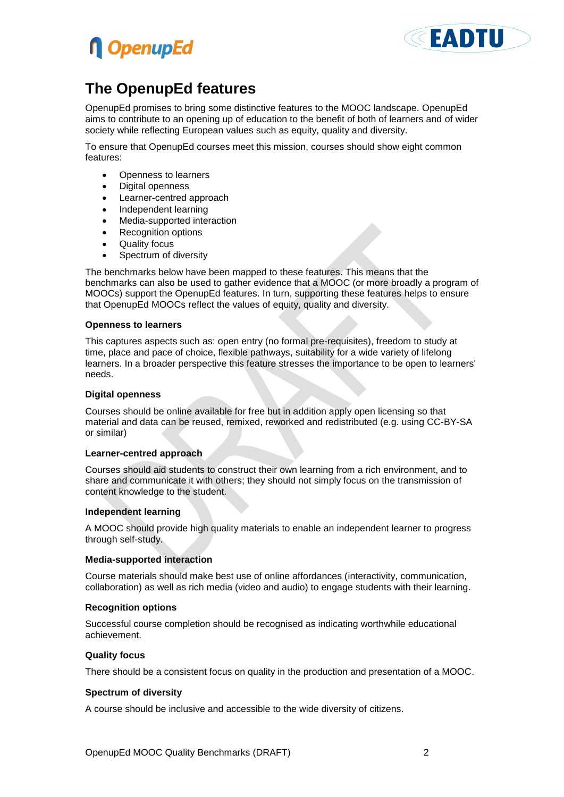



### **The OpenupEd features**

OpenupEd promises to bring some distinctive features to the MOOC landscape. OpenupEd aims to contribute to an opening up of education to the benefit of both of learners and of wider society while reflecting European values such as equity, quality and diversity.

To ensure that OpenupEd courses meet this mission, courses should show eight common features:

- Openness to learners
- Digital openness
- Learner-centred approach
- Independent learning
- Media-supported interaction
- Recognition options
- Quality focus
- Spectrum of diversity

The benchmarks below have been mapped to these features. This means that the benchmarks can also be used to gather evidence that a MOOC (or more broadly a program of MOOCs) support the OpenupEd features. In turn, supporting these features helps to ensure that OpenupEd MOOCs reflect the values of equity, quality and diversity.

#### **Openness to learners**

This captures aspects such as: open entry (no formal pre-requisites), freedom to study at time, place and pace of choice, flexible pathways, suitability for a wide variety of lifelong learners. In a broader perspective this feature stresses the importance to be open to learners' needs.

#### **Digital openness**

Courses should be online available for free but in addition apply open licensing so that material and data can be reused, remixed, reworked and redistributed (e.g. using CC-BY-SA or similar)

#### **Learner-centred approach**

Courses should aid students to construct their own learning from a rich environment, and to share and communicate it with others; they should not simply focus on the transmission of content knowledge to the student.

#### **Independent learning**

A MOOC should provide high quality materials to enable an independent learner to progress through self-study.

#### **Media-supported interaction**

Course materials should make best use of online affordances (interactivity, communication, collaboration) as well as rich media (video and audio) to engage students with their learning.

#### **Recognition options**

Successful course completion should be recognised as indicating worthwhile educational achievement.

#### **Quality focus**

There should be a consistent focus on quality in the production and presentation of a MOOC.

#### **Spectrum of diversity**

A course should be inclusive and accessible to the wide diversity of citizens.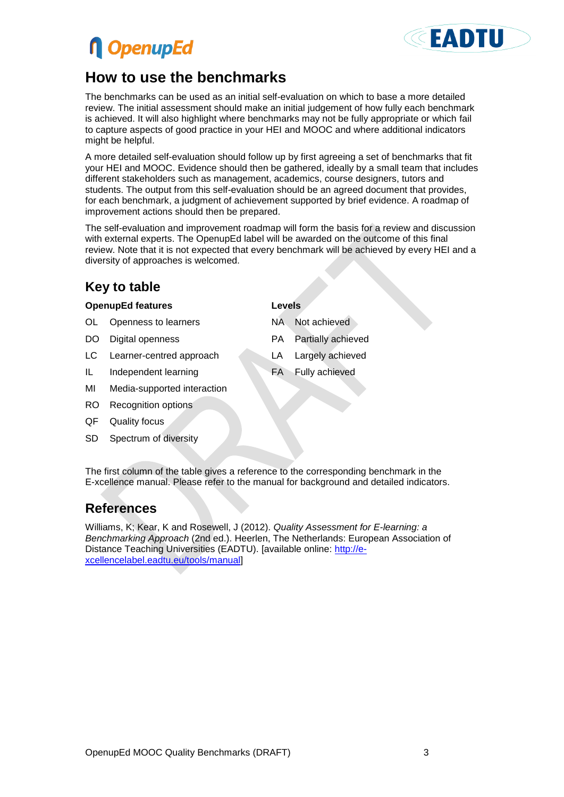## **n** OpenupEd



### **How to use the benchmarks**

The benchmarks can be used as an initial self-evaluation on which to base a more detailed review. The initial assessment should make an initial judgement of how fully each benchmark is achieved. It will also highlight where benchmarks may not be fully appropriate or which fail to capture aspects of good practice in your HEI and MOOC and where additional indicators might be helpful.

A more detailed self-evaluation should follow up by first agreeing a set of benchmarks that fit your HEI and MOOC. Evidence should then be gathered, ideally by a small team that includes different stakeholders such as management, academics, course designers, tutors and students. The output from this self-evaluation should be an agreed document that provides, for each benchmark, a judgment of achievement supported by brief evidence. A roadmap of improvement actions should then be prepared.

The self-evaluation and improvement roadmap will form the basis for a review and discussion with external experts. The OpenupEd label will be awarded on the outcome of this final review. Note that it is not expected that every benchmark will be achieved by every HEI and a diversity of approaches is welcomed.

### **Key to table**

### **OpenupEd features Levels**

- OL Openness to learners NA Not achieved
- 
- LC Learner-centred approach LA Largely achieved
- IL Independent learning FA Fully achieved
- MI Media-supported interaction
- RO Recognition options
- QF Quality focus
- SD Spectrum of diversity

- 
- DO Digital openness **PA Partially achieved** 
	-
	-

The first column of the table gives a reference to the corresponding benchmark in the E-xcellence manual. Please refer to the manual for background and detailed indicators.

### **References**

Williams, K; Kear, K and Rosewell, J (2012). *Quality Assessment for E-learning: a Benchmarking Approach* (2nd ed.). Heerlen, The Netherlands: European Association of Distance Teaching Universities (EADTU). [available online: [http://e](http://e-xcellencelabel.eadtu.eu/tools/manual)[xcellencelabel.eadtu.eu/tools/manual\]](http://e-xcellencelabel.eadtu.eu/tools/manual)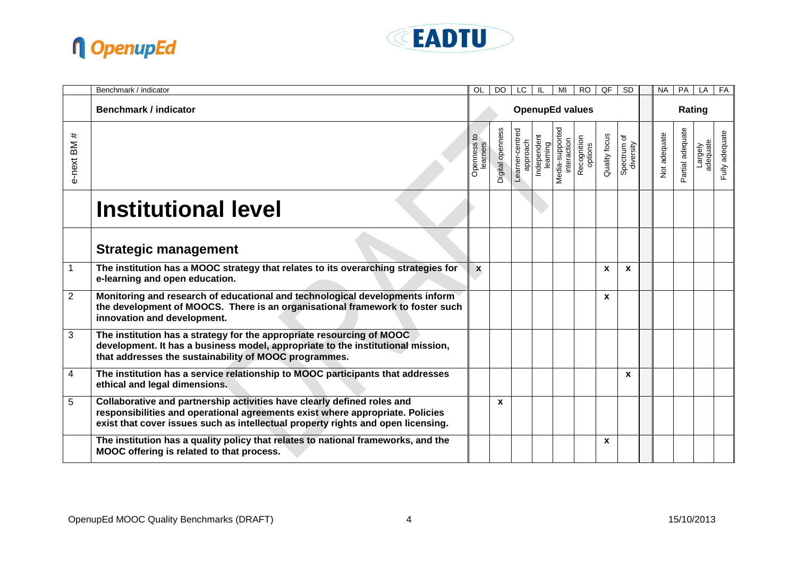



|                   | Benchmark / indicator                                                                                                                                                                                                                        | <b>OL</b>              | <b>DO</b>        | LC.                         | IL                      | MI                             | <b>RO</b>              | QF            | $\overline{SD}$          | <b>NA</b>    | PA               | LA                  | FA             |
|-------------------|----------------------------------------------------------------------------------------------------------------------------------------------------------------------------------------------------------------------------------------------|------------------------|------------------|-----------------------------|-------------------------|--------------------------------|------------------------|---------------|--------------------------|--------------|------------------|---------------------|----------------|
|                   | <b>Benchmark / indicator</b>                                                                                                                                                                                                                 | <b>OpenupEd values</b> |                  |                             |                         |                                |                        |               | Rating                   |              |                  |                     |                |
| #<br>ВM<br>e-next |                                                                                                                                                                                                                                              | earners<br>Openness    | Digital openness | Learner-centred<br>approach | Independent<br>learning | Media-supported<br>interaction | Recognition<br>options | Quality focus | Spectrum of<br>diversity | Not adequate | Partial adequate | adequate<br>Largely | Fully adequate |
|                   | <b>Institutional level</b>                                                                                                                                                                                                                   |                        |                  |                             |                         |                                |                        |               |                          |              |                  |                     |                |
|                   | <b>Strategic management</b>                                                                                                                                                                                                                  |                        |                  |                             |                         |                                |                        |               |                          |              |                  |                     |                |
| 1                 | The institution has a MOOC strategy that relates to its overarching strategies for<br>e-learning and open education.                                                                                                                         | X                      |                  |                             |                         |                                |                        | X             | X                        |              |                  |                     |                |
| $\overline{2}$    | Monitoring and research of educational and technological developments inform<br>the development of MOOCS. There is an organisational framework to foster such<br>innovation and development.                                                 |                        |                  |                             |                         |                                |                        | X             |                          |              |                  |                     |                |
| 3                 | The institution has a strategy for the appropriate resourcing of MOOC<br>development. It has a business model, appropriate to the institutional mission,<br>that addresses the sustainability of MOOC programmes.                            |                        |                  |                             |                         |                                |                        |               |                          |              |                  |                     |                |
| 4                 | The institution has a service relationship to MOOC participants that addresses<br>ethical and legal dimensions.                                                                                                                              |                        |                  |                             |                         |                                |                        |               | X                        |              |                  |                     |                |
| 5                 | Collaborative and partnership activities have clearly defined roles and<br>responsibilities and operational agreements exist where appropriate. Policies<br>exist that cover issues such as intellectual property rights and open licensing. |                        | $\mathbf{x}$     |                             |                         |                                |                        |               |                          |              |                  |                     |                |
|                   | The institution has a quality policy that relates to national frameworks, and the<br>MOOC offering is related to that process.                                                                                                               |                        |                  |                             |                         |                                |                        | X             |                          |              |                  |                     |                |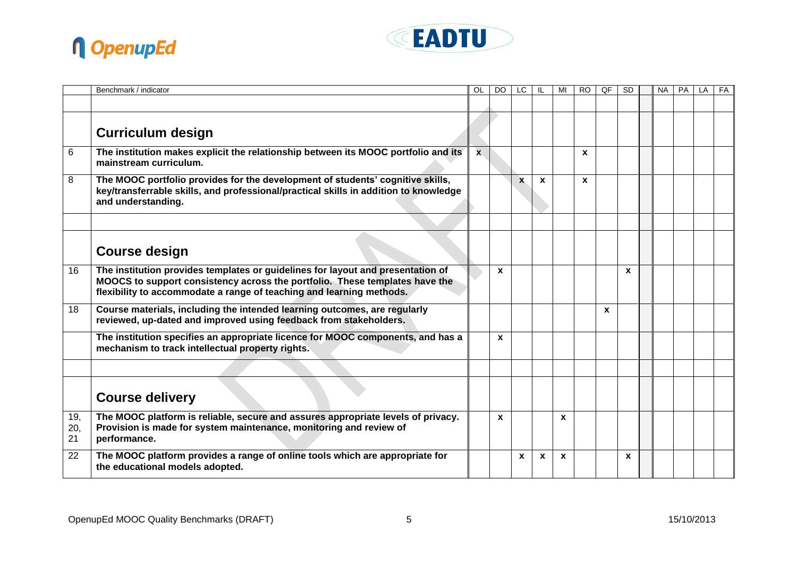



|                  | Benchmark / indicator                                                                                                                                                                                                                  | OL           | DO <sub>1</sub> | LC           |              | MI           | RO.          | QF | <b>SD</b> | <b>NA</b> | <b>PA</b> | LA | FA |
|------------------|----------------------------------------------------------------------------------------------------------------------------------------------------------------------------------------------------------------------------------------|--------------|-----------------|--------------|--------------|--------------|--------------|----|-----------|-----------|-----------|----|----|
|                  |                                                                                                                                                                                                                                        |              |                 |              |              |              |              |    |           |           |           |    |    |
|                  |                                                                                                                                                                                                                                        |              |                 |              |              |              |              |    |           |           |           |    |    |
|                  | <b>Curriculum design</b>                                                                                                                                                                                                               |              |                 |              |              |              |              |    |           |           |           |    |    |
| 6                | The institution makes explicit the relationship between its MOOC portfolio and its<br>mainstream curriculum.                                                                                                                           | $\mathbf{x}$ |                 |              |              |              | <b>X</b>     |    |           |           |           |    |    |
| 8                | The MOOC portfolio provides for the development of students' cognitive skills,<br>key/transferrable skills, and professional/practical skills in addition to knowledge<br>and understanding.                                           |              |                 | $\mathbf{x}$ | $\mathbf{x}$ |              | $\mathbf{x}$ |    |           |           |           |    |    |
|                  |                                                                                                                                                                                                                                        |              |                 |              |              |              |              |    |           |           |           |    |    |
|                  | <b>Course design</b>                                                                                                                                                                                                                   |              |                 |              |              |              |              |    |           |           |           |    |    |
| 16               | The institution provides templates or guidelines for layout and presentation of<br>MOOCS to support consistency across the portfolio. These templates have the<br>flexibility to accommodate a range of teaching and learning methods. |              | $\mathbf{x}$    |              |              |              |              |    | X         |           |           |    |    |
| 18               | Course materials, including the intended learning outcomes, are regularly<br>reviewed, up-dated and improved using feedback from stakeholders.                                                                                         |              |                 |              |              |              |              | X  |           |           |           |    |    |
|                  | The institution specifies an appropriate licence for MOOC components, and has a<br>mechanism to track intellectual property rights.                                                                                                    |              | $\mathbf{x}$    |              |              |              |              |    |           |           |           |    |    |
|                  |                                                                                                                                                                                                                                        |              |                 |              |              |              |              |    |           |           |           |    |    |
|                  | <b>Course delivery</b>                                                                                                                                                                                                                 |              |                 |              |              |              |              |    |           |           |           |    |    |
| 19,<br>20,<br>21 | The MOOC platform is reliable, secure and assures appropriate levels of privacy.<br>Provision is made for system maintenance, monitoring and review of<br>performance.                                                                 |              | $\mathbf{x}$    |              |              | $\mathbf{x}$ |              |    |           |           |           |    |    |
| 22               | The MOOC platform provides a range of online tools which are appropriate for<br>the educational models adopted.                                                                                                                        |              |                 | $\mathbf{x}$ | $\mathbf{x}$ | $\mathbf{x}$ |              |    | X         |           |           |    |    |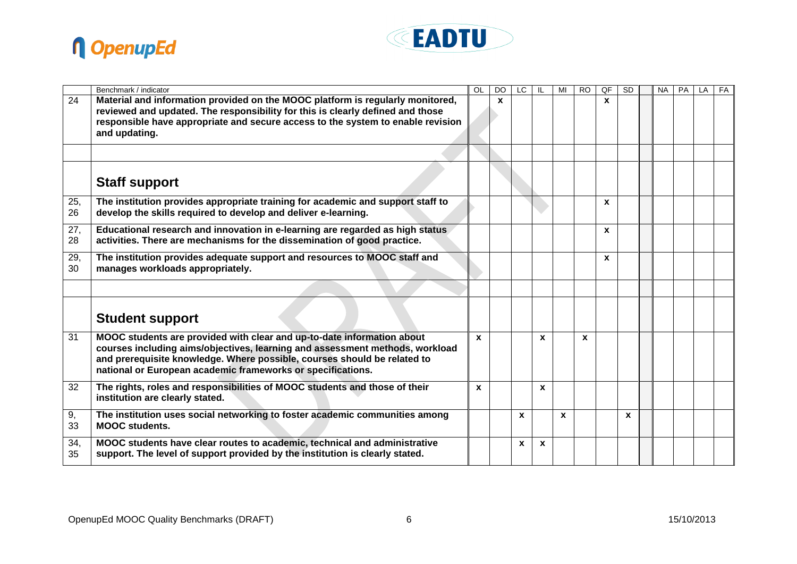



|           | Benchmark / indicator                                                                                                                                                                                                                                                                             | OL           | <b>DO</b>    | LC           |              | MI           | <b>RO</b> | QF           | <b>SD</b> | <b>NA</b> | <b>PA</b> | LA | FA |
|-----------|---------------------------------------------------------------------------------------------------------------------------------------------------------------------------------------------------------------------------------------------------------------------------------------------------|--------------|--------------|--------------|--------------|--------------|-----------|--------------|-----------|-----------|-----------|----|----|
| 24        | Material and information provided on the MOOC platform is regularly monitored,<br>reviewed and updated. The responsibility for this is clearly defined and those<br>responsible have appropriate and secure access to the system to enable revision<br>and updating.                              |              | $\mathbf{x}$ |              |              |              |           | $\mathbf{x}$ |           |           |           |    |    |
|           |                                                                                                                                                                                                                                                                                                   |              |              |              |              |              |           |              |           |           |           |    |    |
|           | <b>Staff support</b>                                                                                                                                                                                                                                                                              |              |              |              |              |              |           |              |           |           |           |    |    |
| 25,<br>26 | The institution provides appropriate training for academic and support staff to<br>develop the skills required to develop and deliver e-learning.                                                                                                                                                 |              |              |              |              |              |           | $\mathbf{x}$ |           |           |           |    |    |
| 27,<br>28 | Educational research and innovation in e-learning are regarded as high status<br>activities. There are mechanisms for the dissemination of good practice.                                                                                                                                         |              |              |              |              |              |           | $\mathbf{x}$ |           |           |           |    |    |
| 29,<br>30 | The institution provides adequate support and resources to MOOC staff and<br>manages workloads appropriately.                                                                                                                                                                                     |              |              |              |              |              |           | $\mathbf{x}$ |           |           |           |    |    |
|           |                                                                                                                                                                                                                                                                                                   |              |              |              |              |              |           |              |           |           |           |    |    |
|           | <b>Student support</b>                                                                                                                                                                                                                                                                            |              |              |              |              |              |           |              |           |           |           |    |    |
| 31        | MOOC students are provided with clear and up-to-date information about<br>courses including aims/objectives, learning and assessment methods, workload<br>and prerequisite knowledge. Where possible, courses should be related to<br>national or European academic frameworks or specifications. | $\mathbf{x}$ |              |              | X            |              | X         |              |           |           |           |    |    |
| 32        | The rights, roles and responsibilities of MOOC students and those of their<br>institution are clearly stated.                                                                                                                                                                                     | X            |              |              | $\mathbf{x}$ |              |           |              |           |           |           |    |    |
| 9,<br>33  | The institution uses social networking to foster academic communities among<br><b>MOOC</b> students.                                                                                                                                                                                              |              |              | $\mathbf{x}$ |              | $\mathbf{x}$ |           |              | X         |           |           |    |    |
| 34,<br>35 | MOOC students have clear routes to academic, technical and administrative<br>support. The level of support provided by the institution is clearly stated.                                                                                                                                         |              |              | X            | $\mathbf{x}$ |              |           |              |           |           |           |    |    |